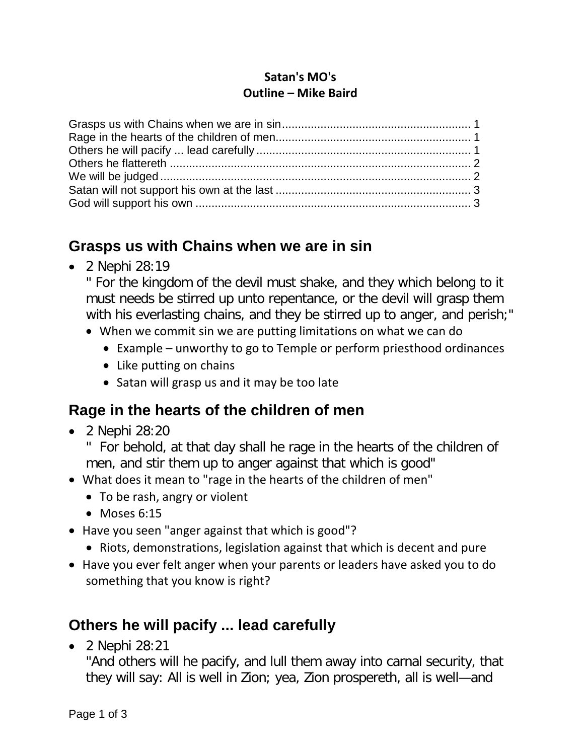#### **Satan's MO's Outline – Mike Baird**

### <span id="page-0-0"></span>**Grasps us with Chains when we are in sin**

• 2 Nephi 28:19

" For the kingdom of the devil must shake, and they which belong to it must needs be stirred up unto repentance, or the devil will grasp them with his everlasting chains, and they be stirred up to anger, and perish;"

- When we commit sin we are putting limitations on what we can do
	- Example unworthy to go to Temple or perform priesthood ordinances
	- Like putting on chains
	- Satan will grasp us and it may be too late

## <span id="page-0-1"></span>**Rage in the hearts of the children of men**

• 2 Nephi 28:20

For behold, at that day shall he rage in the hearts of the children of men, and stir them up to anger against that which is good"

- What does it mean to "rage in the hearts of the children of men"
	- To be rash, angry or violent
	- Moses 6:15
- Have you seen "anger against that which is good"?
	- Riots, demonstrations, legislation against that which is decent and pure
- Have you ever felt anger when your parents or leaders have asked you to do something that you know is right?

## <span id="page-0-2"></span>**Others he will pacify ... lead carefully**

• 2 Nephi 28:21

"And others will he pacify, and lull them away into carnal security, that they will say: All is well in Zion; yea, Zion prospereth, all is well—and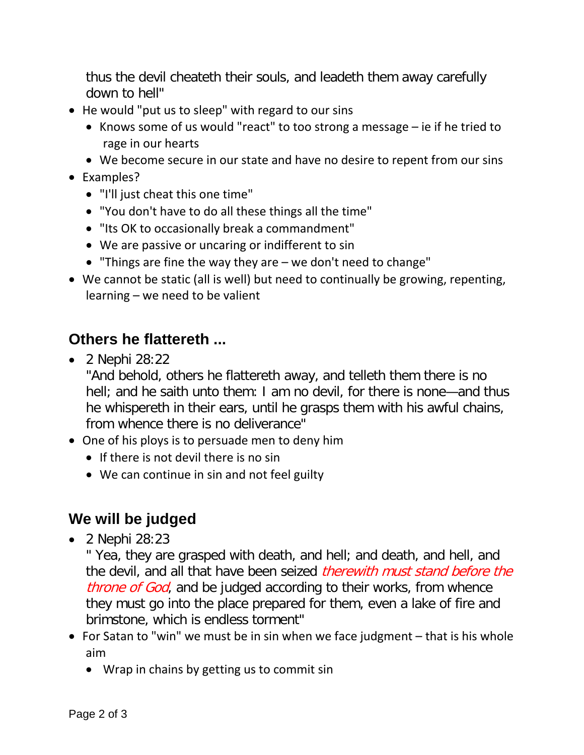thus the devil cheateth their souls, and leadeth them away carefully down to hell"

- He would "put us to sleep" with regard to our sins
	- Knows some of us would "react" to too strong a message ie if he tried to rage in our hearts
	- We become secure in our state and have no desire to repent from our sins
- Examples?
	- "I'll just cheat this one time"
	- "You don't have to do all these things all the time"
	- "Its OK to occasionally break a commandment"
	- We are passive or uncaring or indifferent to sin
	- "Things are fine the way they are we don't need to change"
- We cannot be static (all is well) but need to continually be growing, repenting, learning – we need to be valient

## <span id="page-1-0"></span>**Others he flattereth ...**

• 2 Nephi 28:22

"And behold, others he flattereth away, and telleth them there is no hell; and he saith unto them: I am no devil, for there is none—and thus he whispereth in their ears, until he grasps them with his awful chains, from whence there is no deliverance"

- One of his ploys is to persuade men to deny him
	- If there is not devil there is no sin
	- We can continue in sin and not feel guilty

# <span id="page-1-1"></span>**We will be judged**

• 2 Nephi 28:23

" Yea, they are grasped with death, and hell; and death, and hell, and the devil, and all that have been seized *therewith must stand before the* throne of God, and be judged according to their works, from whence they must go into the place prepared for them, even a lake of fire and brimstone, which is endless torment"

- For Satan to "win" we must be in sin when we face judgment that is his whole aim
	- Wrap in chains by getting us to commit sin